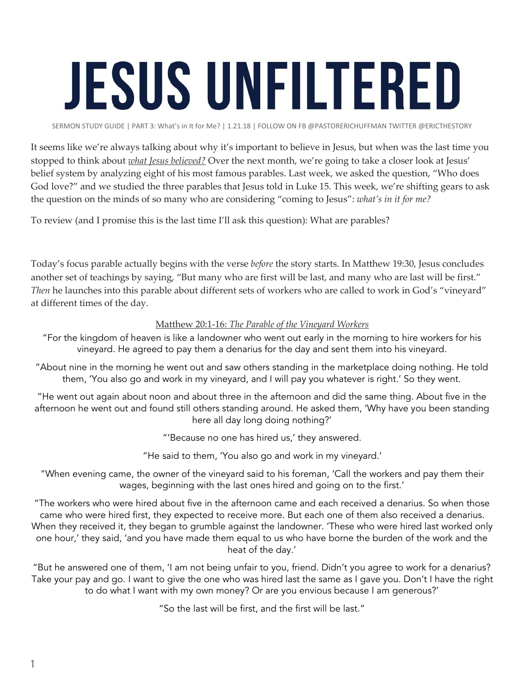## **JESUS UNFILTERED**

SERMON STUDY GUIDE | PART 3: What's in It for Me? | 1.21.18 | FOLLOW ON FB @PASTORERICHUFFMAN TWITTER @ERICTHESTORY

It seems like we're always talking about why it's important to believe in Jesus, but when was the last time you stopped to think about *what Jesus believed?* Over the next month, we're going to take a closer look at Jesus' belief system by analyzing eight of his most famous parables. Last week, we asked the question, "Who does God love?" and we studied the three parables that Jesus told in Luke 15. This week, we're shifting gears to ask the question on the minds of so many who are considering "coming to Jesus": *what's in it for me?*

To review (and I promise this is the last time I'll ask this question): What are parables?

Today's focus parable actually begins with the verse *before* the story starts. In Matthew 19:30, Jesus concludes another set of teachings by saying, "But many who are first will be last, and many who are last will be first." *Then* he launches into this parable about different sets of workers who are called to work in God's "vineyard" at different times of the day.

## Matthew 20:1-16: *The Parable of the Vineyard Workers*

- "For the kingdom of heaven is like a landowner who went out early in the morning to hire workers for his vineyard. He agreed to pay them a denarius for the day and sent them into his vineyard.
- "About nine in the morning he went out and saw others standing in the marketplace doing nothing. He told them, 'You also go and work in my vineyard, and I will pay you whatever is right.' So they went.

"He went out again about noon and about three in the afternoon and did the same thing. About five in the afternoon he went out and found still others standing around. He asked them, 'Why have you been standing here all day long doing nothing?'

"'Because no one has hired us,' they answered.

"He said to them, 'You also go and work in my vineyard.'

"When evening came, the owner of the vineyard said to his foreman, 'Call the workers and pay them their wages, beginning with the last ones hired and going on to the first.'

"The workers who were hired about five in the afternoon came and each received a denarius. So when those came who were hired first, they expected to receive more. But each one of them also received a denarius. When they received it, they began to grumble against the landowner. 'These who were hired last worked only one hour,' they said, 'and you have made them equal to us who have borne the burden of the work and the heat of the day.'

"But he answered one of them, 'I am not being unfair to you, friend. Didn't you agree to work for a denarius? Take your pay and go. I want to give the one who was hired last the same as I gave you. Don't I have the right to do what I want with my own money? Or are you envious because I am generous?'

"So the last will be first, and the first will be last."